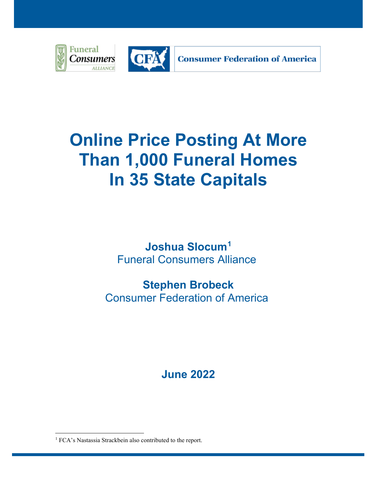

# **Online Price Posting At More Than 1,000 Funeral Homes In 35 State Capitals**

**Joshua Slocum[1](#page-0-0)** Funeral Consumers Alliance

**Stephen Brobeck** Consumer Federation of America

**June 2022**

<span id="page-0-0"></span><sup>&</sup>lt;sup>1</sup> FCA's Nastassia Strackbein also contributed to the report.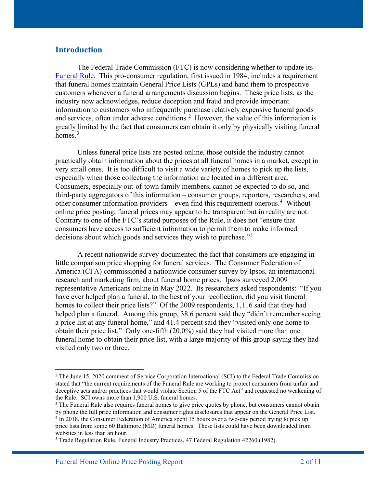#### **Introduction**

The Federal Trade Commission (FTC) is now considering whether to update its [Funeral Rule.](https://www.ftc.gov/news-events/topics/truth-advertising/funeral-rule) This pro-consumer regulation, first issued in 1984, includes a requirement that funeral homes maintain General Price Lists (GPLs) and hand them to prospective customers whenever a funeral arrangements discussion begins. These price lists, as the industry now acknowledges, reduce deception and fraud and provide important information to customers who infrequently purchase relatively expensive funeral goods and services, often under adverse conditions.<sup>[2](#page-1-0)</sup> However, the value of this information is greatly limited by the fact that consumers can obtain it only by physically visiting funeral homes. $3$ 

Unless funeral price lists are posted online, those outside the industry cannot practically obtain information about the prices at all funeral homes in a market, except in very small ones. It is too difficult to visit a wide variety of homes to pick up the lists, especially when those collecting the information are located in a different area. Consumers, especially out-of-town family members, cannot be expected to do so, and third-party aggregators of this information – consumer groups, reporters, researchers, and other consumer information providers – even find this requirement onerous.<sup>[4](#page-1-2)</sup> Without online price posting, funeral prices may appear to be transparent but in reality are not. Contrary to one of the FTC's stated purposes of the Rule, it does not "ensure that consumers have access to sufficient information to permit them to make informed decisions about which goods and services they wish to purchase."<sup>[5](#page-1-3)</sup>

 A recent nationwide survey documented the fact that consumers are engaging in little comparison price shopping for funeral services. The Consumer Federation of America (CFA) commissioned a nationwide consumer survey by Ipsos, an international research and marketing firm, about funeral home prices. Ipsos surveyed 2,009 representative Americans online in May 2022. Its researchers asked respondents: "If you have ever helped plan a funeral, to the best of your recollection, did you visit funeral homes to collect their price lists?" Of the 2009 respondents, 1,116 said that they had helped plan a funeral. Among this group, 38.6 percent said they "didn't remember seeing a price list at any funeral home," and 41.4 percent said they "visited only one home to obtain their price list." Only one-fifth (20.0%) said they had visited more than one funeral home to obtain their price list, with a large majority of this group saying they had visited only two or three.

<span id="page-1-0"></span><sup>&</sup>lt;sup>2</sup> The June 15, 2020 comment of Service Corporation International (SCI) to the Federal Trade Commission stated that "the current requirements of the Funeral Rule are working to protect consumers from unfair and deceptive acts and/or practices that would violate Section 5 of the FTC Act" and requested no weakening of the Rule. SCI owns more than 1,900 U.S. funeral homes.

<span id="page-1-1"></span> $3$  The Funeral Rule also requires funeral homes to give price quotes by phone, but consumers cannot obtain by phone the full price information and consumer rights disclosures that appear on the General Price List.

<span id="page-1-2"></span><sup>4</sup> In 2018, the Consumer Federation of America spent 15 hours over a two-day period trying to pick up price lists from some 60 Baltimore (MD) funeral homes. These lists could have been downloaded from websites in less than an hour.

<span id="page-1-3"></span><sup>5</sup> Trade Regulation Rule, Funeral Industry Practices, 47 Federal Regulation 42260 (1982).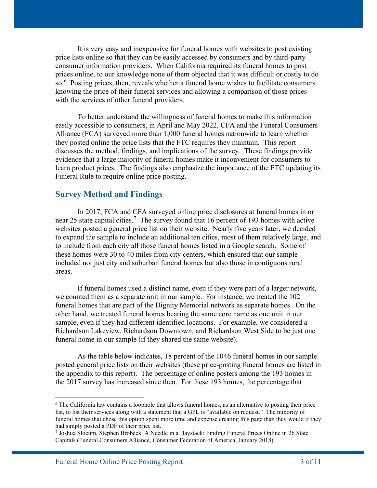It is very easy and inexpensive for funeral homes with websites to post existing price lists online so that they can be easily accessed by consumers and by third-party consumer information providers. When California required its funeral homes to post prices online, to our knowledge none of them objected that it was difficult or costly to do so.<sup>[6](#page-2-0)</sup> Posting prices, then, reveals whether a funeral home wishes to facilitate consumers knowing the price of their funeral services and allowing a comparison of those prices with the services of other funeral providers.

To better understand the willingness of funeral homes to make this information easily accessible to consumers, in April and May 2022, CFA and the Funeral Consumers Alliance (FCA) surveyed more than 1,000 funeral homes nationwide to learn whether they posted online the price lists that the FTC requires they maintain. This report discusses the method, findings, and implications of the survey. These findings provide evidence that a large majority of funeral homes make it inconvenient for consumers to learn product prices. The findings also emphasize the importance of the FTC updating its Funeral Rule to require online price posting.

#### **Survey Method and Findings**

In 2017, FCA and CFA surveyed online price disclosures at funeral homes in or near 25 state capital cities.<sup>[7](#page-2-1)</sup> The survey found that 16 percent of 193 homes with active websites posted a general price list on their website. Nearly five years later, we decided to expand the sample to include an additional ten cities, most of them relatively large, and to include from each city all those funeral homes listed in a Google search. Some of these homes were 30 to 40 miles from city centers, which ensured that our sample included not just city and suburban funeral homes but also those in contiguous rural areas.

If funeral homes used a distinct name, even if they were part of a larger network, we counted them as a separate unit in our sample. For instance, we treated the 102 funeral homes that are part of the Dignity Memorial network as separate homes. On the other hand, we treated funeral homes bearing the same core name as one unit in our sample, even if they had different identified locations. For example, we considered a Richardson Lakeview, Richardson Downtown, and Richardson West Side to be just one funeral home in our sample (if they shared the same website).

As the table below indicates, 18 percent of the 1046 funeral homes in our sample posted general price lists on their websites (these price-posting funeral homes are listed in the appendix to this report). The percentage of online posters among the 193 homes in the 2017 survey has increased since then. For these 193 homes, the percentage that

<span id="page-2-0"></span> $6$  The California law contains a loophole that allows funeral homes, as an alternative to posting their price list, to list their services along with a statement that a GPL is "available on request." The minority of funeral homes that chose this option spent more time and expense creating this page than they would if they had simply posted a PDF of their price list.

<span id="page-2-1"></span><sup>7</sup> Joshua Slocum, Stephen Brobeck, A Needle in a Haystack: Finding Funeral Prices Online in 26 State Capitals (Funeral Consumers Alliance, Consumer Federation of America, January 2018).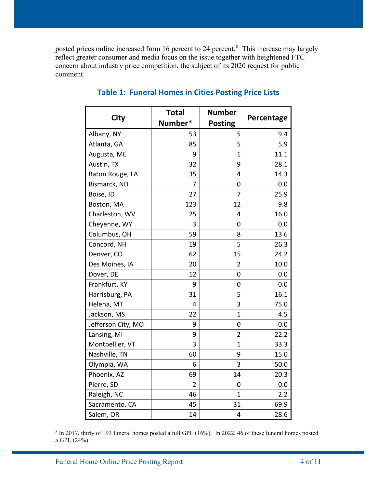posted prices online increased from 16 percent to 24 percent.<sup>[8](#page-3-0)</sup> This increase may largely reflect greater consumer and media focus on the issue together with heightened FTC concern about industry price competition, the subject of its 2020 request for public comment.

| <b>City</b>        | <b>Total</b> | <b>Number</b>  |            |
|--------------------|--------------|----------------|------------|
|                    | Number*      | <b>Posting</b> | Percentage |
| Albany, NY         | 53           | 5              | 9.4        |
| Atlanta, GA        | 85           | 5              | 5.9        |
| Augusta, ME        | 9            | $\mathbf{1}$   | 11.1       |
| Austin, TX         | 32           | 9              | 28.1       |
| Baton Rouge, LA    | 35           | 4              | 14.3       |
| Bismarck, ND       | 7            | 0              | 0.0        |
| Boise, ID          | 27           | 7              | 25.9       |
| Boston, MA         | 123          | 12             | 9.8        |
| Charleston, WV     | 25           | 4              | 16.0       |
| Cheyenne, WY       | 3            | 0              | 0.0        |
| Columbus, OH       | 59           | 8              | 13.6       |
| Concord, NH        | 19           | 5              | 26.3       |
| Denver, CO         | 62           | 15             | 24.2       |
| Des Moines, IA     | 20           | 2              | 10.0       |
| Dover, DE          | 12           | 0              | 0.0        |
| Frankfurt, KY      | 9            | 0              | 0.0        |
| Harrisburg, PA     | 31           | 5              | 16.1       |
| Helena, MT         | 4            | 3              | 75.0       |
| Jackson, MS        | 22           | 1              | 4.5        |
| Jefferson City, MO | 9            | 0              | 0.0        |
| Lansing, MI        | 9            | $\overline{2}$ | 22.2       |
| Montpellier, VT    | 3            | 1              | 33.3       |
| Nashville, TN      | 60           | 9              | 15.0       |
| Olympia, WA        | 6            | 3              | 50.0       |
| Phoenix, AZ        | 69           | 14             | 20.3       |
| Pierre, SD         | 2            | 0              | 0.0        |
| Raleigh, NC        | 46           | 1              | 2.2        |
| Sacramento, CA     | 45           | 31             | 69.9       |
| Salem, OR          | 14           | 4              | 28.6       |

## **Table 1: Funeral Homes in Cities Posting Price Lists**

<span id="page-3-0"></span><sup>8</sup> In 2017, thirty of 193 funeral homes posted a full GPL (16%). In 2022, 46 of these funeral homes posted a GPL (24%).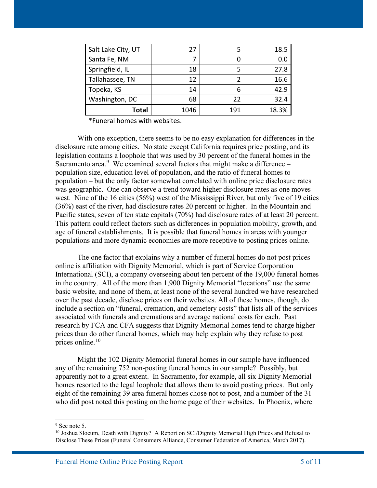| Salt Lake City, UT | 27   | 5   | 18.5  |
|--------------------|------|-----|-------|
| Santa Fe, NM       |      |     | 0.0   |
| Springfield, IL    | 18   |     | 27.8  |
| Tallahassee, TN    | 12   | 2   | 16.6  |
| Topeka, KS         | 14   | 6   | 42.9  |
| Washington, DC     | 68   | 22  | 32.4  |
| <b>Total</b>       | 1046 | 191 | 18.3% |

\*Funeral homes with websites.

With one exception, there seems to be no easy explanation for differences in the disclosure rate among cities. No state except California requires price posting, and its legislation contains a loophole that was used by 30 percent of the funeral homes in the Sacramento area. $9$  We examined several factors that might make a difference  $$ population size, education level of population, and the ratio of funeral homes to population – but the only factor somewhat correlated with online price disclosure rates was geographic. One can observe a trend toward higher disclosure rates as one moves west. Nine of the 16 cities (56%) west of the Mississippi River, but only five of 19 cities (36%) east of the river, had disclosure rates 20 percent or higher. In the Mountain and Pacific states, seven of ten state capitals (70%) had disclosure rates of at least 20 percent. This pattern could reflect factors such as differences in population mobility, growth, and age of funeral establishments. It is possible that funeral homes in areas with younger populations and more dynamic economies are more receptive to posting prices online.

The one factor that explains why a number of funeral homes do not post prices online is affiliation with Dignity Memorial, which is part of Service Corporation International (SCI), a company overseeing about ten percent of the 19,000 funeral homes in the country. All of the more than 1,900 Dignity Memorial "locations" use the same basic website, and none of them, at least none of the several hundred we have researched over the past decade, disclose prices on their websites. All of these homes, though, do include a section on "funeral, cremation, and cemetery costs" that lists all of the services associated with funerals and cremations and average national costs for each. Past research by FCA and CFA suggests that Dignity Memorial homes tend to charge higher prices than do other funeral homes, which may help explain why they refuse to post prices online. [10](#page-4-1)

Might the 102 Dignity Memorial funeral homes in our sample have influenced any of the remaining 752 non-posting funeral homes in our sample? Possibly, but apparently not to a great extent. In Sacramento, for example, all six Dignity Memorial homes resorted to the legal loophole that allows them to avoid posting prices. But only eight of the remaining 39 area funeral homes chose not to post, and a number of the 31 who did post noted this posting on the home page of their websites. In Phoenix, where

 $9$  See note 5.

<span id="page-4-1"></span><span id="page-4-0"></span> $10$  Joshua Slocum, Death with Dignity? A Report on SCI/Dignity Memorial High Prices and Refusal to Disclose These Prices (Funeral Consumers Alliance, Consumer Federation of America, March 2017).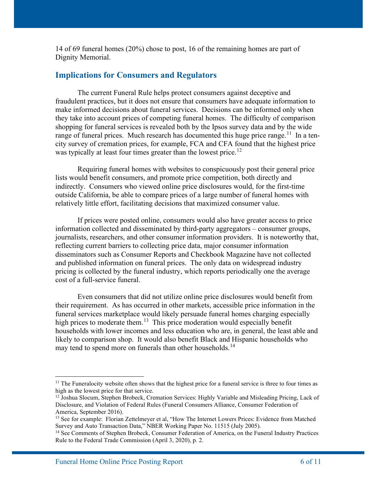14 of 69 funeral homes (20%) chose to post, 16 of the remaining homes are part of Dignity Memorial.

## **Implications for Consumers and Regulators**

The current Funeral Rule helps protect consumers against deceptive and fraudulent practices, but it does not ensure that consumers have adequate information to make informed decisions about funeral services. Decisions can be informed only when they take into account prices of competing funeral homes. The difficulty of comparison shopping for funeral services is revealed both by the Ipsos survey data and by the wide range of funeral prices. Much research has documented this huge price range.<sup>11</sup> In a tencity survey of cremation prices, for example, FCA and CFA found that the highest price was typically at least four times greater than the lowest price.<sup>[12](#page-5-1)</sup>

Requiring funeral homes with websites to conspicuously post their general price lists would benefit consumers, and promote price competition, both directly and indirectly. Consumers who viewed online price disclosures would, for the first-time outside California, be able to compare prices of a large number of funeral homes with relatively little effort, facilitating decisions that maximized consumer value.

If prices were posted online, consumers would also have greater access to price information collected and disseminated by third-party aggregators – consumer groups, journalists, researchers, and other consumer information providers. It is noteworthy that, reflecting current barriers to collecting price data, major consumer information disseminators such as Consumer Reports and Checkbook Magazine have not collected and published information on funeral prices. The only data on widespread industry pricing is collected by the funeral industry, which reports periodically one the average cost of a full-service funeral.

Even consumers that did not utilize online price disclosures would benefit from their requirement. As has occurred in other markets, accessible price information in the funeral services marketplace would likely persuade funeral homes charging especially high prices to moderate them.<sup>13</sup> This price moderation would especially benefit households with lower incomes and less education who are, in general, the least able and likely to comparison shop. It would also benefit Black and Hispanic households who may tend to spend more on funerals than other households.<sup>[14](#page-5-3)</sup>

<span id="page-5-0"></span><sup>&</sup>lt;sup>11</sup> The Funeralocity website often shows that the highest price for a funeral service is three to four times as high as the lowest price for that service.

<span id="page-5-1"></span><sup>&</sup>lt;sup>12</sup> Joshua Slocum, Stephen Brobeck, Cremation Services: Highly Variable and Misleading Pricing, Lack of Disclosure, and Violation of Federal Rules (Funeral Consumers Alliance, Consumer Federation of America, September 2016).

<span id="page-5-2"></span><sup>&</sup>lt;sup>13</sup> See for example: Florian Zettelmeyer et al, "How The Internet Lowers Prices: Evidence from Matched Survey and Auto Transaction Data," NBER Working Paper No. 11515 (July 2005).

<span id="page-5-3"></span><sup>&</sup>lt;sup>14</sup> See Comments of Stephen Brobeck, Consumer Federation of America, on the Funeral Industry Practices Rule to the Federal Trade Commission (April 3, 2020), p. 2.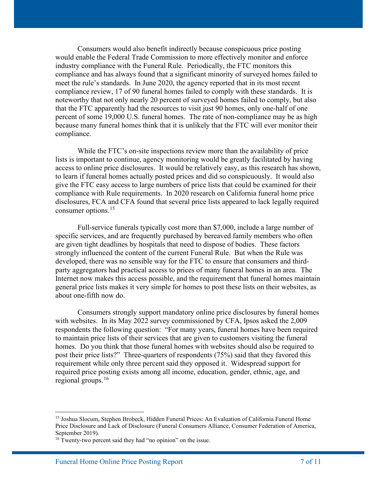Consumers would also benefit indirectly because conspicuous price posting would enable the Federal Trade Commission to more effectively monitor and enforce industry compliance with the Funeral Rule. Periodically, the FTC monitors this compliance and has always found that a significant minority of surveyed homes failed to meet the rule's standards. In June 2020, the agency reported that in its most recent compliance review, 17 of 90 funeral homes failed to comply with these standards. It is noteworthy that not only nearly 20 percent of surveyed homes failed to comply, but also that the FTC apparently had the resources to visit just 90 homes, only one-half of one percent of some 19,000 U.S. funeral homes. The rate of non-compliance may be as high because many funeral homes think that it is unlikely that the FTC will ever monitor their compliance.

While the FTC's on-site inspections review more than the availability of price lists is important to continue, agency monitoring would be greatly facilitated by having access to online price disclosures. It would be relatively easy, as this research has shown, to learn if funeral homes actually posted prices and did so conspicuously. It would also give the FTC easy access to large numbers of price lists that could be examined for their compliance with Rule requirements. In 2020 research on California funeral home price disclosures, FCA and CFA found that several price lists appeared to lack legally required consumer options.<sup>[15](#page-6-0)</sup>

Full-service funerals typically cost more than \$7,000, include a large number of specific services, and are frequently purchased by bereaved family members who often are given tight deadlines by hospitals that need to dispose of bodies. These factors strongly influenced the content of the current Funeral Rule. But when the Rule was developed, there was no sensible way for the FTC to ensure that consumers and thirdparty aggregators had practical access to prices of many funeral homes in an area. The Internet now makes this access possible, and the requirement that funeral homes maintain general price lists makes it very simple for homes to post these lists on their websites, as about one-fifth now do.

Consumers strongly support mandatory online price disclosures by funeral homes with websites. In its May 2022 survey commissioned by CFA, Ipsos asked the 2,009 respondents the following question: "For many years, funeral homes have been required to maintain price lists of their services that are given to customers visiting the funeral homes. Do you think that those funeral homes with websites should also be required to post their price lists?" Three-quarters of respondents (75%) said that they favored this requirement while only three percent said they opposed it. Widespread support for required price posting exists among all income, education, gender, ethnic, age, and regional groups.[16](#page-6-1)

<span id="page-6-0"></span><sup>15</sup> Joshua Slocum, Stephen Brobeck, Hidden Funeral Prices: An Evaluation of California Funeral Home Price Disclosure and Lack of Disclosure (Funeral Consumers Alliance, Consumer Federation of America, September 2019).

<span id="page-6-1"></span><sup>&</sup>lt;sup>16</sup> Twenty-two percent said they had "no opinion" on the issue.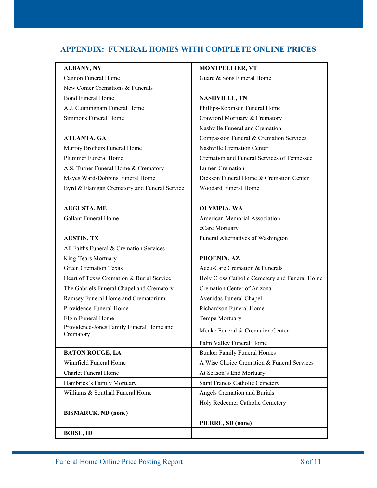## **APPENDIX: FUNERAL HOMES WITH COMPLETE ONLINE PRICES**

| <b>ALBANY, NY</b>                                     | <b>MONTPELLIER, VT</b>                        |
|-------------------------------------------------------|-----------------------------------------------|
| Cannon Funeral Home                                   | Guare & Sons Funeral Home                     |
| New Comer Cremations & Funerals                       |                                               |
| <b>Bond Funeral Home</b>                              | <b>NASHVILLE, TN</b>                          |
| A.J. Cunningham Funeral Home                          | Phillips-Robinson Funeral Home                |
| Simmons Funeral Home                                  | Crawford Mortuary & Crematory                 |
|                                                       | Nashville Funeral and Cremation               |
| ATLANTA, GA                                           | Compassion Funeral & Cremation Services       |
| Murray Brothers Funeral Home                          | Nashville Cremation Center                    |
| Plummer Funeral Home                                  | Cremation and Funeral Services of Tennessee   |
| A.S. Turner Funeral Home & Crematory                  | Lumen Cremation                               |
| Mayes Ward-Dobbins Funeral Home                       | Dickson Funeral Home & Cremation Center       |
| Byrd & Flanigan Crematory and Funeral Service         | Woodard Funeral Home                          |
|                                                       |                                               |
| AUGUSTA, ME                                           | OLYMPIA, WA                                   |
| <b>Gallant Funeral Home</b>                           | American Memorial Association                 |
|                                                       | eCare Mortuary                                |
| <b>AUSTIN, TX</b>                                     | Funeral Alternatives of Washington            |
| All Faiths Funeral & Cremation Services               |                                               |
| King-Tears Mortuary                                   | PHOENIX, AZ                                   |
| <b>Green Cremation Texas</b>                          | Accu-Care Cremation & Funerals                |
| Heart of Texas Cremation & Burial Service             | Holy Cross Catholic Cemetery and Funeral Home |
| The Gabriels Funeral Chapel and Crematory             | Cremation Center of Arizona                   |
| Ramsey Funeral Home and Crematorium                   | Avenidas Funeral Chapel                       |
| Providence Funeral Home                               | Richardson Funeral Home                       |
| Elgin Funeral Home                                    | Tempe Mortuary                                |
| Providence-Jones Family Funeral Home and<br>Crematory | Menke Funeral & Cremation Center              |
|                                                       | Palm Valley Funeral Home                      |
| <b>BATON ROUGE, LA</b>                                | <b>Bunker Family Funeral Homes</b>            |
| Winnfield Funeral Home                                | A Wise Choice Cremation & Funeral Services    |
| <b>Charlet Funeral Home</b>                           | At Season's End Mortuary                      |
| Hambrick's Family Mortuary                            | Saint Francis Catholic Cemetery               |
| Williams & Southall Funeral Home                      | Angels Cremation and Burials                  |
|                                                       | Holy Redeemer Catholic Cemetery               |
| <b>BISMARCK, ND (none)</b>                            |                                               |
|                                                       | PIERRE, SD (none)                             |
| <b>BOISE, ID</b>                                      |                                               |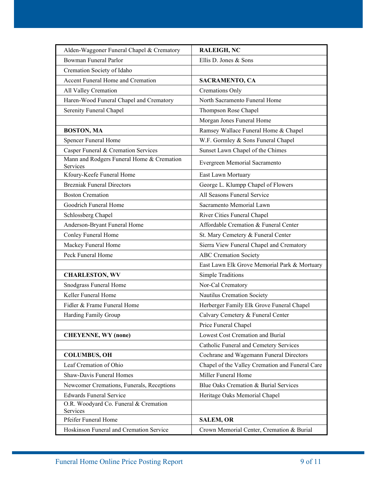| Alden-Waggoner Funeral Chapel & Crematory             | <b>RALEIGH, NC</b>                              |
|-------------------------------------------------------|-------------------------------------------------|
| Bowman Funeral Parlor                                 | Ellis D. Jones & Sons                           |
| Cremation Society of Idaho                            |                                                 |
| Accent Funeral Home and Cremation                     | SACRAMENTO, CA                                  |
| All Valley Cremation                                  | Cremations Only                                 |
| Haren-Wood Funeral Chapel and Crematory               | North Sacramento Funeral Home                   |
| Serenity Funeral Chapel                               | Thompson Rose Chapel                            |
|                                                       | Morgan Jones Funeral Home                       |
| <b>BOSTON, MA</b>                                     | Ramsey Wallace Funeral Home & Chapel            |
| Spencer Funeral Home                                  | W.F. Gormley & Sons Funeral Chapel              |
| Casper Funeral & Cremation Services                   | Sunset Lawn Chapel of the Chimes                |
| Mann and Rodgers Funeral Home & Cremation<br>Services | Evergreen Memorial Sacramento                   |
| Kfoury-Keefe Funeral Home                             | East Lawn Mortuary                              |
| <b>Brezniak Funeral Directors</b>                     | George L. Klumpp Chapel of Flowers              |
| <b>Boston Cremation</b>                               | All Seasons Funeral Service                     |
| Goodrich Funeral Home                                 | Sacramento Memorial Lawn                        |
| Schlossberg Chapel                                    | River Cities Funeral Chapel                     |
| Anderson-Bryant Funeral Home                          | Affordable Cremation & Funeral Center           |
| Conley Funeral Home                                   | St. Mary Cemetery & Funeral Center              |
| Mackey Funeral Home                                   | Sierra View Funeral Chapel and Crematory        |
| Peck Funeral Home                                     | <b>ABC</b> Cremation Society                    |
|                                                       | East Lawn Elk Grove Memorial Park & Mortuary    |
| <b>CHARLESTON, WV</b>                                 | Simple Traditions                               |
| Snodgrass Funeral Home                                | Nor-Cal Crematory                               |
| Keller Funeral Home                                   | Nautilus Cremation Society                      |
| Fidler & Frame Funeral Home                           | Herberger Family Elk Grove Funeral Chapel       |
| Harding Family Group                                  | Calvary Cemetery & Funeral Center               |
|                                                       | Price Funeral Chapel                            |
| <b>CHEYENNE, WY (none)</b>                            | Lowest Cost Cremation and Burial                |
|                                                       | Catholic Funeral and Cemetery Services          |
| <b>COLUMBUS, OH</b>                                   | Cochrane and Wagemann Funeral Directors         |
| Leaf Cremation of Ohio                                | Chapel of the Valley Cremation and Funeral Care |
| Shaw-Davis Funeral Homes                              | Miller Funeral Home                             |
| Newcomer Cremations, Funerals, Receptions             | Blue Oaks Cremation & Burial Services           |
| <b>Edwards Funeral Service</b>                        | Heritage Oaks Memorial Chapel                   |
| O.R. Woodyard Co. Funeral & Cremation<br>Services     |                                                 |
| Pfeifer Funeral Home                                  | <b>SALEM, OR</b>                                |
| Hoskinson Funeral and Cremation Service               | Crown Memorial Center, Cremation & Burial       |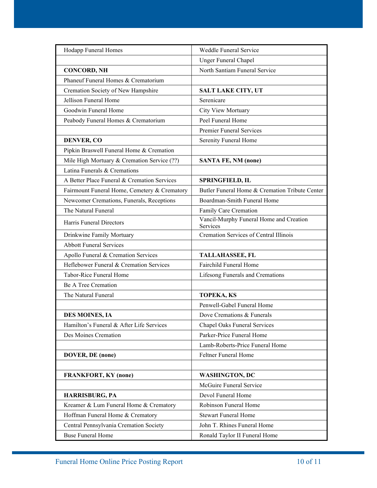| Hodapp Funeral Homes                         | Weddle Funeral Service                              |
|----------------------------------------------|-----------------------------------------------------|
|                                              | <b>Unger Funeral Chapel</b>                         |
| <b>CONCORD, NH</b>                           | North Santiam Funeral Service                       |
| Phaneuf Funeral Homes & Crematorium          |                                                     |
| Cremation Society of New Hampshire           | <b>SALT LAKE CITY, UT</b>                           |
| Jellison Funeral Home                        | Serenicare                                          |
| Goodwin Funeral Home                         | City View Mortuary                                  |
| Peabody Funeral Homes & Crematorium          | Peel Funeral Home                                   |
|                                              | <b>Premier Funeral Services</b>                     |
| <b>DENVER, CO</b>                            | Serenity Funeral Home                               |
| Pipkin Braswell Funeral Home & Cremation     |                                                     |
| Mile High Mortuary & Cremation Service (??)  | <b>SANTA FE, NM (none)</b>                          |
| Latina Funerals & Cremations                 |                                                     |
| A Better Place Funeral & Cremation Services  | <b>SPRINGFIELD, IL</b>                              |
| Fairmount Funeral Home, Cemetery & Crematory | Butler Funeral Home & Cremation Tribute Center      |
| Newcomer Cremations, Funerals, Receptions    | Boardman-Smith Funeral Home                         |
| The Natural Funeral                          | Family Care Cremation                               |
| Harris Funeral Directors                     | Vancil-Murphy Funeral Home and Creation<br>Services |
| Drinkwine Family Mortuary                    | Cremation Services of Central Illinois              |
| <b>Abbott Funeral Services</b>               |                                                     |
| Apollo Funeral & Cremation Services          | <b>TALLAHASSEE, FL</b>                              |
| Heflebower Funeral & Cremation Services      | Fairchild Funeral Home                              |
| Tabor-Rice Funeral Home                      | Lifesong Funerals and Cremations                    |
| Be A Tree Cremation                          |                                                     |
| The Natural Funeral                          | <b>TOPEKA, KS</b>                                   |
|                                              | Penwell-Gabel Funeral Home                          |
| <b>DES MOINES, IA</b>                        | Dove Cremations & Funerals                          |
| Hamilton's Funeral & After Life Services     | <b>Chapel Oaks Funeral Services</b>                 |
| Des Moines Cremation                         | Parker-Price Funeral Home                           |
|                                              | Lamb-Roberts-Price Funeral Home                     |
| DOVER, DE (none)                             | Feltner Funeral Home                                |
|                                              |                                                     |
| <b>FRANKFORT, KY (none)</b>                  | <b>WASHINGTON, DC</b>                               |
|                                              | McGuire Funeral Service                             |
| HARRISBURG, PA                               | Devol Funeral Home                                  |
| Kreamer & Lum Funeral Home & Crematory       | Robinson Funeral Home                               |
| Hoffman Funeral Home & Crematory             | <b>Stewart Funeral Home</b>                         |
| Central Pennsylvania Cremation Society       | John T. Rhines Funeral Home                         |
| <b>Buse Funeral Home</b>                     | Ronald Taylor II Funeral Home                       |